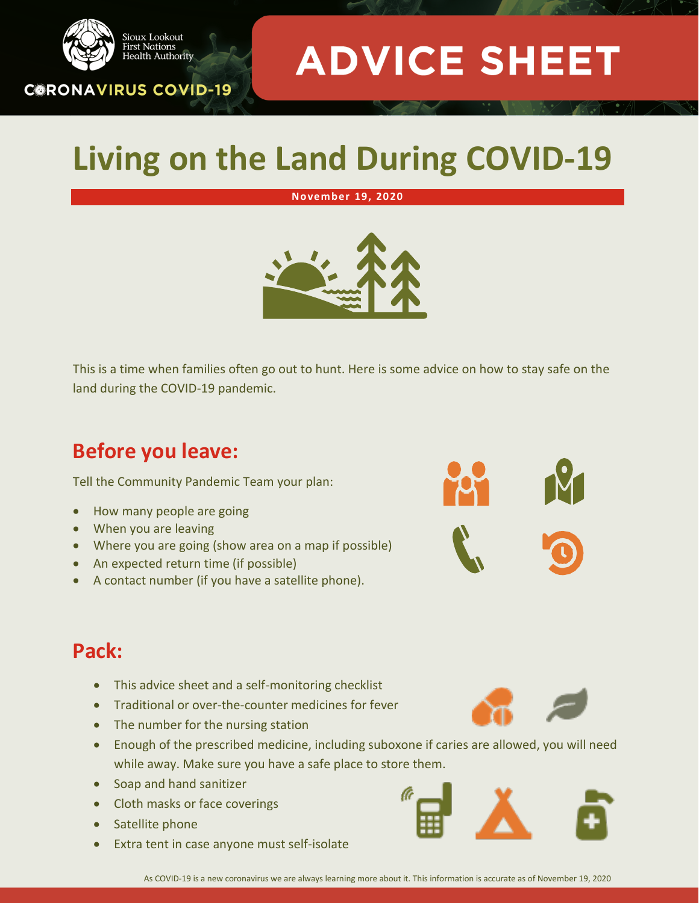

## **Living on the Land During COVID-19**

#### **November 19, 2020**



This is a time when families often go out to hunt. Here is some advice on how to stay safe on the land during the COVID-19 pandemic.

### **Before you leave:**

Sioux Lookout **First Nations** 

**CORONAVIRUS COVID-19** 

. ...........<br>Health Authority

Tell the Community Pandemic Team your plan:

- How many people are going
- When you are leaving
- Where you are going (show area on a map if possible)
- An expected return time (if possible)
- A contact number (if you have a satellite phone).



#### **Pack:**

- This advice sheet and a self-monitoring checklist
- Traditional or over-the-counter medicines for fever
- The number for the nursing station
- Enough of the prescribed medicine, including suboxone if caries are allowed, you will need while away. Make sure you have a safe place to store them.
- Soap and hand sanitizer
- Cloth masks or face coverings
- **Satellite phone**
- Extra tent in case anyone must self-isolate